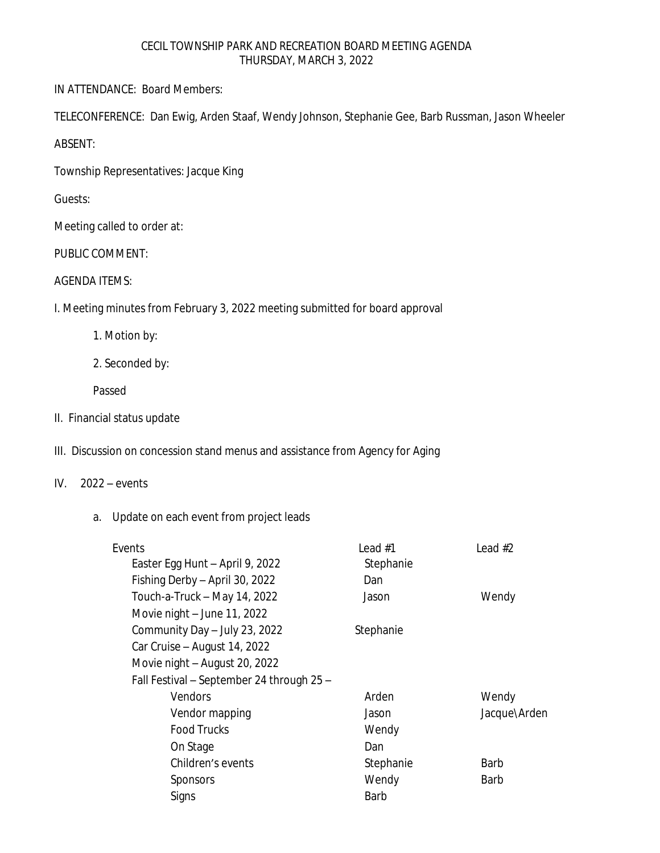#### CECIL TOWNSHIP PARK AND RECREATION BOARD MEETING AGENDA THURSDAY, MARCH 3, 2022

IN ATTENDANCE: Board Members:

TELECONFERENCE: Dan Ewig, Arden Staaf, Wendy Johnson, Stephanie Gee, Barb Russman, Jason Wheeler

ABSENT:

Township Representatives: Jacque King

Guests:

Meeting called to order at:

PUBLIC COMMENT:

## AGENDA ITEMS:

I. Meeting minutes from February 3, 2022 meeting submitted for board approval

1. Motion by:

2. Seconded by:

Passed

II. Financial status update

# III. Discussion on concession stand menus and assistance from Agency for Aging

### IV. 2022 – events

# a. Update on each event from project leads

| Events                                    | Lead #1     | Lead $#2$    |
|-------------------------------------------|-------------|--------------|
| Easter Egg Hunt - April 9, 2022           | Stephanie   |              |
| Fishing Derby - April 30, 2022            | Dan         |              |
| Touch-a-Truck - May 14, 2022              | Jason       | Wendy        |
| Movie night - June 11, 2022               |             |              |
| Community Day - July 23, 2022             | Stephanie   |              |
| Car Cruise - August 14, 2022              |             |              |
| Movie night - August 20, 2022             |             |              |
| Fall Festival - September 24 through 25 - |             |              |
| <b>Vendors</b>                            | Arden       | Wendy        |
| Vendor mapping                            | Jason       | Jacque\Arden |
| <b>Food Trucks</b>                        | Wendy       |              |
| On Stage                                  | Dan         |              |
| Children's events                         | Stephanie   | Barb         |
| Sponsors                                  | Wendy       | Barb         |
| Signs                                     | <b>Barb</b> |              |
|                                           |             |              |